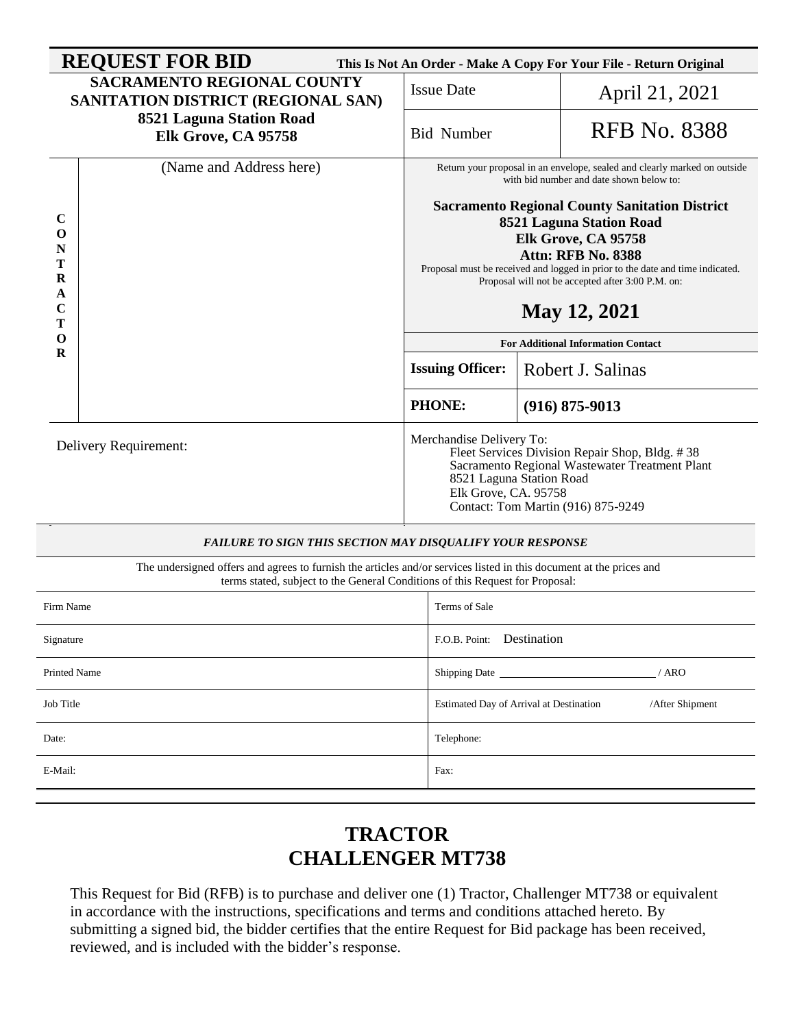| <b>REQUEST FOR BID</b><br>This Is Not An Order - Make A Copy For Your File - Return Original |                                                                                                                                                                                                      |                                                                                                                                                                                                                                                                                                    |                                                                   |                     |  |  |  |  |
|----------------------------------------------------------------------------------------------|------------------------------------------------------------------------------------------------------------------------------------------------------------------------------------------------------|----------------------------------------------------------------------------------------------------------------------------------------------------------------------------------------------------------------------------------------------------------------------------------------------------|-------------------------------------------------------------------|---------------------|--|--|--|--|
|                                                                                              | <b>SACRAMENTO REGIONAL COUNTY</b><br>SANITATION DISTRICT (REGIONAL SAN)                                                                                                                              | <b>Issue Date</b>                                                                                                                                                                                                                                                                                  |                                                                   | April 21, 2021      |  |  |  |  |
|                                                                                              | 8521 Laguna Station Road<br>Elk Grove, CA 95758                                                                                                                                                      | <b>Bid Number</b>                                                                                                                                                                                                                                                                                  |                                                                   | <b>RFB</b> No. 8388 |  |  |  |  |
|                                                                                              | (Name and Address here)                                                                                                                                                                              | Return your proposal in an envelope, sealed and clearly marked on outside<br>with bid number and date shown below to:                                                                                                                                                                              |                                                                   |                     |  |  |  |  |
| C<br>O<br>N<br>Т<br>$\bf R$<br>A<br>C<br>т                                                   |                                                                                                                                                                                                      | <b>Sacramento Regional County Sanitation District</b><br>8521 Laguna Station Road<br>Elk Grove, CA 95758<br><b>Attn: RFB No. 8388</b><br>Proposal must be received and logged in prior to the date and time indicated.<br>Proposal will not be accepted after 3:00 P.M. on:<br><b>May 12, 2021</b> |                                                                   |                     |  |  |  |  |
| 0<br>$\bf{R}$                                                                                |                                                                                                                                                                                                      | <b>For Additional Information Contact</b>                                                                                                                                                                                                                                                          |                                                                   |                     |  |  |  |  |
|                                                                                              |                                                                                                                                                                                                      | <b>Issuing Officer:</b>                                                                                                                                                                                                                                                                            | Robert J. Salinas                                                 |                     |  |  |  |  |
|                                                                                              |                                                                                                                                                                                                      | <b>PHONE:</b>                                                                                                                                                                                                                                                                                      | $(916) 875 - 9013$                                                |                     |  |  |  |  |
|                                                                                              | Delivery Requirement:                                                                                                                                                                                | Merchandise Delivery To:<br>Fleet Services Division Repair Shop, Bldg. #38<br>Sacramento Regional Wastewater Treatment Plant<br>8521 Laguna Station Road<br>Elk Grove, CA. 95758<br>Contact: Tom Martin (916) 875-9249                                                                             |                                                                   |                     |  |  |  |  |
| FAILURE TO SIGN THIS SECTION MAY DISQUALIFY YOUR RESPONSE                                    |                                                                                                                                                                                                      |                                                                                                                                                                                                                                                                                                    |                                                                   |                     |  |  |  |  |
|                                                                                              | The undersigned offers and agrees to furnish the articles and/or services listed in this document at the prices and<br>terms stated, subject to the General Conditions of this Request for Proposal: |                                                                                                                                                                                                                                                                                                    |                                                                   |                     |  |  |  |  |
| Firm Name                                                                                    |                                                                                                                                                                                                      | Terms of Sale                                                                                                                                                                                                                                                                                      |                                                                   |                     |  |  |  |  |
| Signature                                                                                    |                                                                                                                                                                                                      |                                                                                                                                                                                                                                                                                                    | F.O.B. Point: Destination                                         |                     |  |  |  |  |
| Printed Name                                                                                 |                                                                                                                                                                                                      | Shipping Date __                                                                                                                                                                                                                                                                                   | / ARO                                                             |                     |  |  |  |  |
| Job Title                                                                                    |                                                                                                                                                                                                      |                                                                                                                                                                                                                                                                                                    | /After Shipment<br><b>Estimated Day of Arrival at Destination</b> |                     |  |  |  |  |
| Date:                                                                                        |                                                                                                                                                                                                      | Telephone:                                                                                                                                                                                                                                                                                         |                                                                   |                     |  |  |  |  |
| E-Mail:                                                                                      |                                                                                                                                                                                                      | Fax:                                                                                                                                                                                                                                                                                               |                                                                   |                     |  |  |  |  |

# **TRACTOR CHALLENGER MT738**

This Request for Bid (RFB) is to purchase and deliver one (1) Tractor, Challenger MT738 or equivalent in accordance with the instructions, specifications and terms and conditions attached hereto. By submitting a signed bid, the bidder certifies that the entire Request for Bid package has been received, reviewed, and is included with the bidder's response.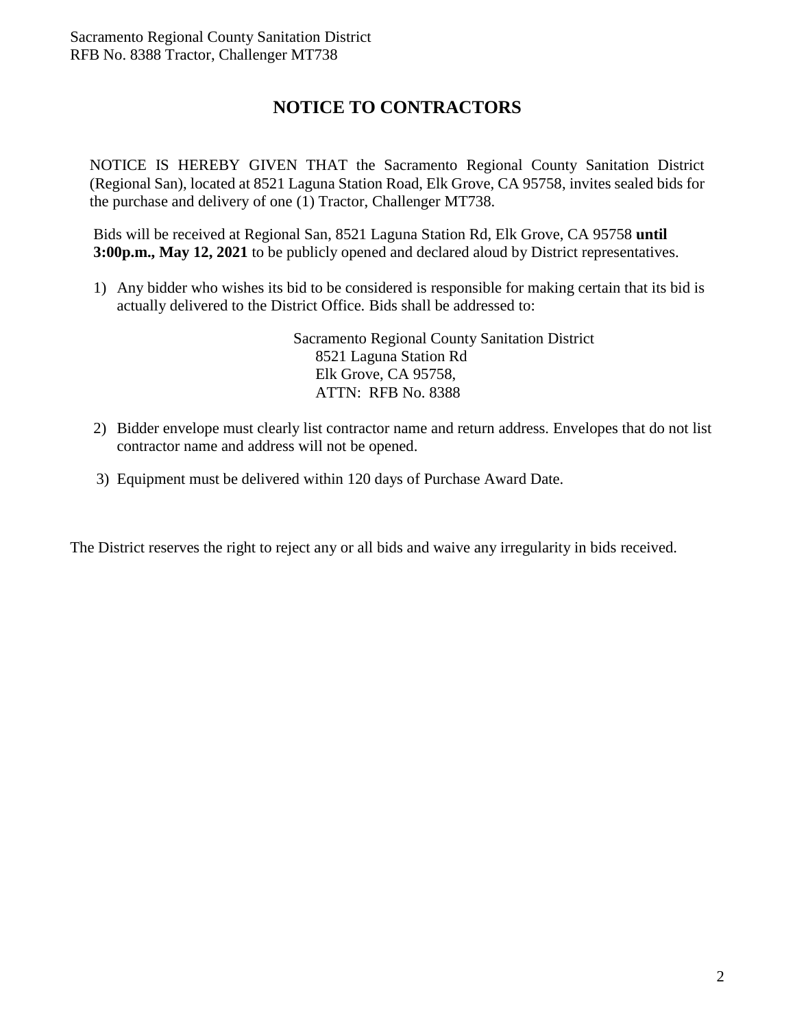## **NOTICE TO CONTRACTORS**

NOTICE IS HEREBY GIVEN THAT the Sacramento Regional County Sanitation District (Regional San), located at 8521 Laguna Station Road, Elk Grove, CA 95758, invites sealed bids for the purchase and delivery of one (1) Tractor, Challenger MT738.

Bids will be received at Regional San, 8521 Laguna Station Rd, Elk Grove, CA 95758 **until 3:00p.m., May 12, 2021** to be publicly opened and declared aloud by District representatives.

1) Any bidder who wishes its bid to be considered is responsible for making certain that its bid is actually delivered to the District Office. Bids shall be addressed to:

> Sacramento Regional County Sanitation District 8521 Laguna Station Rd Elk Grove, CA 95758, ATTN: RFB No. 8388

- 2) Bidder envelope must clearly list contractor name and return address. Envelopes that do not list contractor name and address will not be opened.
- 3) Equipment must be delivered within 120 days of Purchase Award Date.

The District reserves the right to reject any or all bids and waive any irregularity in bids received.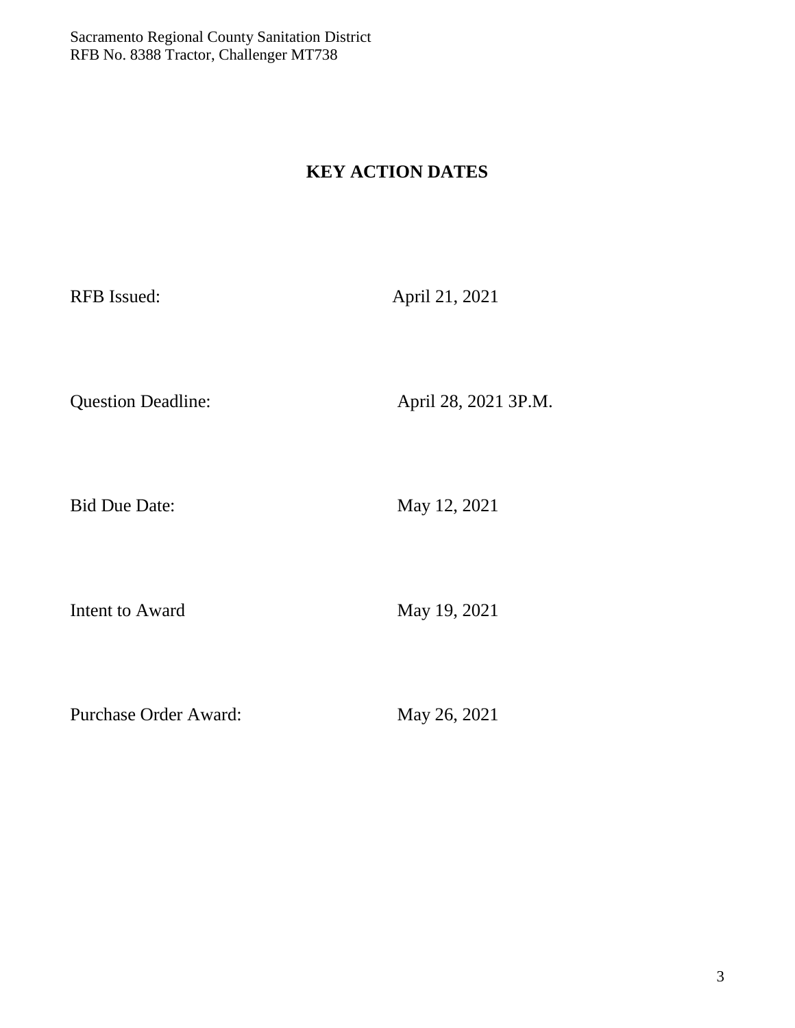## **KEY ACTION DATES**

RFB Issued: April 21, 2021

Question Deadline: April 28, 2021 3P.M.

Bid Due Date: May 12, 2021

Intent to Award May 19, 2021

Purchase Order Award: May 26, 2021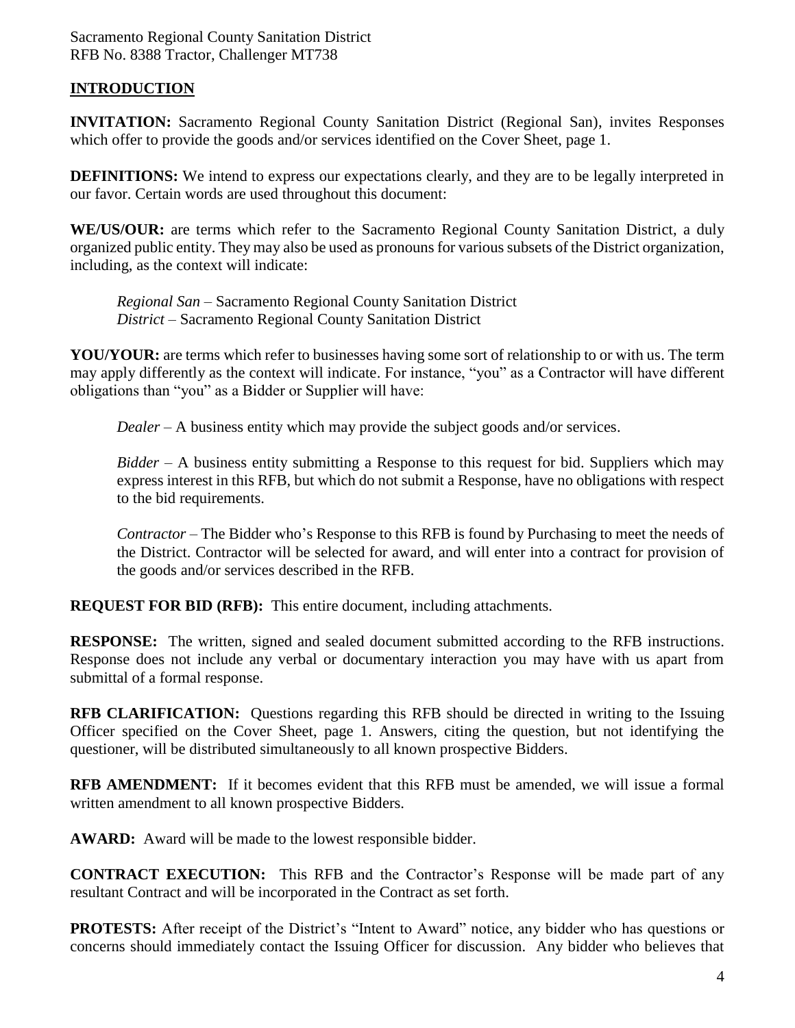### **INTRODUCTION**

**INVITATION:** Sacramento Regional County Sanitation District (Regional San), invites Responses which offer to provide the goods and/or services identified on the Cover Sheet, page 1.

**DEFINITIONS:** We intend to express our expectations clearly, and they are to be legally interpreted in our favor. Certain words are used throughout this document:

**WE/US/OUR:** are terms which refer to the Sacramento Regional County Sanitation District, a duly organized public entity. They may also be used as pronouns for various subsets of the District organization, including, as the context will indicate:

*Regional San* – Sacramento Regional County Sanitation District *District* – Sacramento Regional County Sanitation District

**YOU/YOUR:** are terms which refer to businesses having some sort of relationship to or with us. The term may apply differently as the context will indicate. For instance, "you" as a Contractor will have different obligations than "you" as a Bidder or Supplier will have:

*Dealer* – A business entity which may provide the subject goods and/or services.

*Bidder* – A business entity submitting a Response to this request for bid. Suppliers which may express interest in this RFB, but which do not submit a Response, have no obligations with respect to the bid requirements.

*Contractor* – The Bidder who's Response to this RFB is found by Purchasing to meet the needs of the District. Contractor will be selected for award, and will enter into a contract for provision of the goods and/or services described in the RFB.

**REQUEST FOR BID (RFB):** This entire document, including attachments.

**RESPONSE:** The written, signed and sealed document submitted according to the RFB instructions. Response does not include any verbal or documentary interaction you may have with us apart from submittal of a formal response.

**RFB CLARIFICATION:** Questions regarding this RFB should be directed in writing to the Issuing Officer specified on the Cover Sheet, page 1. Answers, citing the question, but not identifying the questioner, will be distributed simultaneously to all known prospective Bidders.

**RFB AMENDMENT:** If it becomes evident that this RFB must be amended, we will issue a formal written amendment to all known prospective Bidders.

**AWARD:** Award will be made to the lowest responsible bidder.

**CONTRACT EXECUTION:** This RFB and the Contractor's Response will be made part of any resultant Contract and will be incorporated in the Contract as set forth.

**PROTESTS:** After receipt of the District's "Intent to Award" notice, any bidder who has questions or concerns should immediately contact the Issuing Officer for discussion. Any bidder who believes that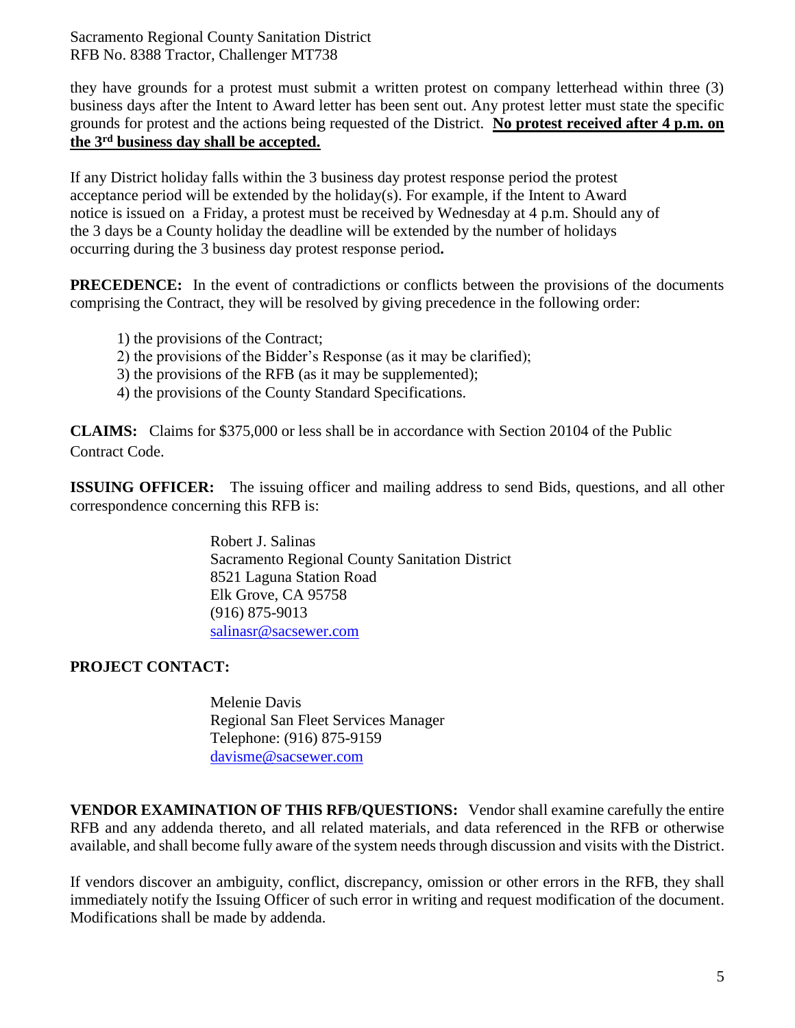they have grounds for a protest must submit a written protest on company letterhead within three (3) business days after the Intent to Award letter has been sent out. Any protest letter must state the specific grounds for protest and the actions being requested of the District. **No protest received after 4 p.m. on the 3rd business day shall be accepted.**

If any District holiday falls within the 3 business day protest response period the protest acceptance period will be extended by the holiday(s). For example, if the Intent to Award notice is issued on a Friday, a protest must be received by Wednesday at 4 p.m. Should any of the 3 days be a County holiday the deadline will be extended by the number of holidays occurring during the 3 business day protest response period**.**

**PRECEDENCE:** In the event of contradictions or conflicts between the provisions of the documents comprising the Contract, they will be resolved by giving precedence in the following order:

- 1) the provisions of the Contract;
- 2) the provisions of the Bidder's Response (as it may be clarified);
- 3) the provisions of the RFB (as it may be supplemented);
- 4) the provisions of the County Standard Specifications.

**CLAIMS:** Claims for \$375,000 or less shall be in accordance with Section 20104 of the Public Contract Code.

**ISSUING OFFICER:** The issuing officer and mailing address to send Bids, questions, and all other correspondence concerning this RFB is:

> Robert J. Salinas Sacramento Regional County Sanitation District 8521 Laguna Station Road Elk Grove, CA 95758 (916) 875-9013 [salinasr@sacsewer.com](mailto:salinasr@sacsewer.com)

#### **PROJECT CONTACT:**

Melenie Davis Regional San Fleet Services Manager Telephone: (916) 875-9159 [davisme@sacsewer.com](mailto:davisme@sacsewer.com)

**VENDOR EXAMINATION OF THIS RFB/QUESTIONS:** Vendor shall examine carefully the entire RFB and any addenda thereto, and all related materials, and data referenced in the RFB or otherwise available, and shall become fully aware of the system needs through discussion and visits with the District.

If vendors discover an ambiguity, conflict, discrepancy, omission or other errors in the RFB, they shall immediately notify the Issuing Officer of such error in writing and request modification of the document. Modifications shall be made by addenda.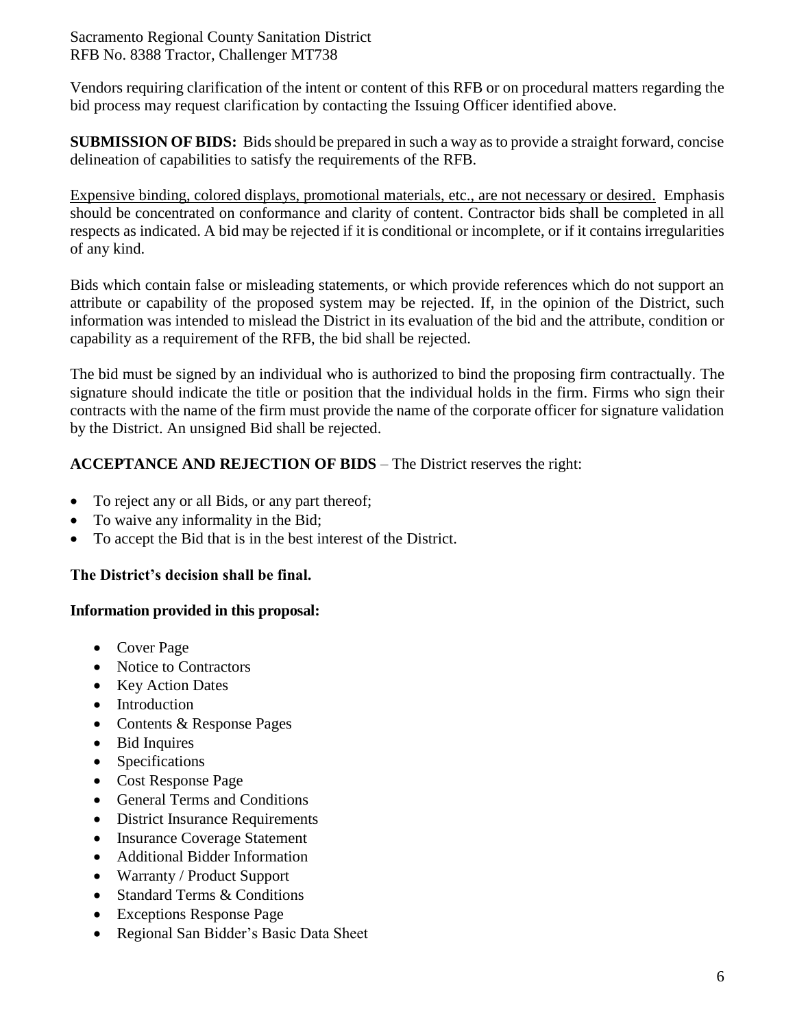Vendors requiring clarification of the intent or content of this RFB or on procedural matters regarding the bid process may request clarification by contacting the Issuing Officer identified above.

**SUBMISSION OF BIDS:** Bids should be prepared in such a way as to provide a straight forward, concise delineation of capabilities to satisfy the requirements of the RFB.

Expensive binding, colored displays, promotional materials, etc., are not necessary or desired. Emphasis should be concentrated on conformance and clarity of content. Contractor bids shall be completed in all respects as indicated. A bid may be rejected if it is conditional or incomplete, or if it contains irregularities of any kind.

Bids which contain false or misleading statements, or which provide references which do not support an attribute or capability of the proposed system may be rejected. If, in the opinion of the District, such information was intended to mislead the District in its evaluation of the bid and the attribute, condition or capability as a requirement of the RFB, the bid shall be rejected.

The bid must be signed by an individual who is authorized to bind the proposing firm contractually. The signature should indicate the title or position that the individual holds in the firm. Firms who sign their contracts with the name of the firm must provide the name of the corporate officer for signature validation by the District. An unsigned Bid shall be rejected.

### **ACCEPTANCE AND REJECTION OF BIDS** – The District reserves the right:

- To reject any or all Bids, or any part thereof;
- To waive any informality in the Bid;
- To accept the Bid that is in the best interest of the District.

#### **The District's decision shall be final.**

#### **Information provided in this proposal:**

- Cover Page
- Notice to Contractors
- Key Action Dates
- Introduction
- Contents & Response Pages
- Bid Inquires
- Specifications
- Cost Response Page
- General Terms and Conditions
- District Insurance Requirements
- Insurance Coverage Statement
- Additional Bidder Information
- Warranty / Product Support
- Standard Terms & Conditions
- Exceptions Response Page
- Regional San Bidder's Basic Data Sheet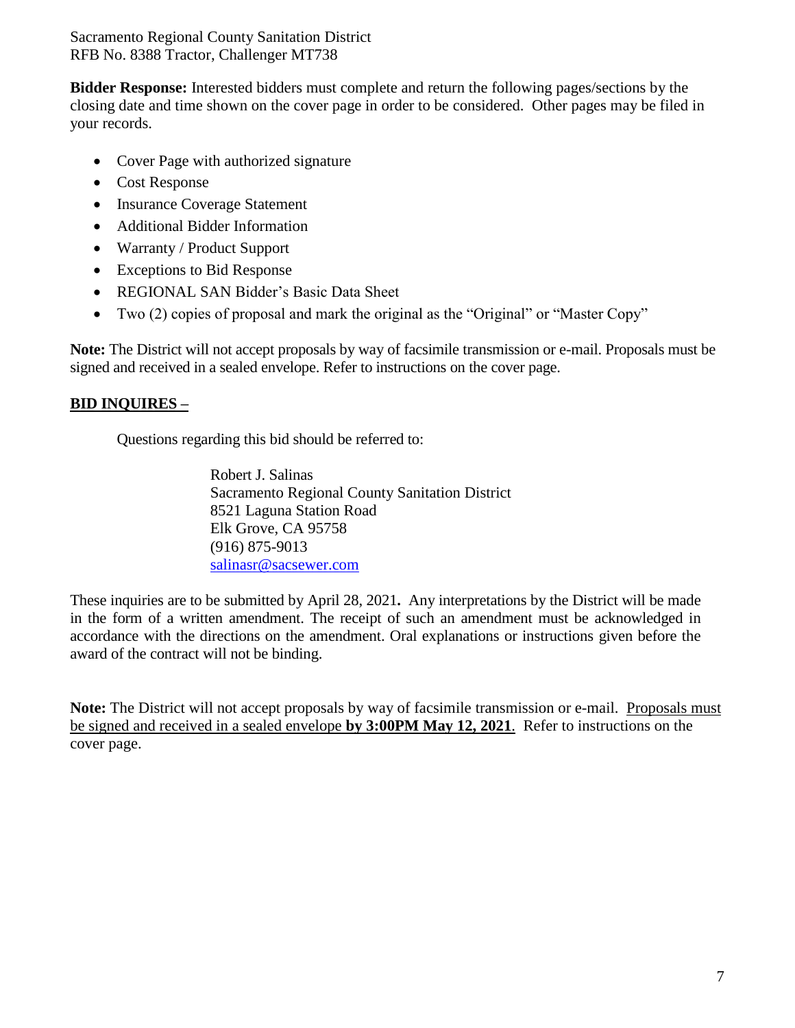**Bidder Response:** Interested bidders must complete and return the following pages/sections by the closing date and time shown on the cover page in order to be considered. Other pages may be filed in your records.

- Cover Page with authorized signature
- Cost Response
- Insurance Coverage Statement
- Additional Bidder Information
- Warranty / Product Support
- Exceptions to Bid Response
- REGIONAL SAN Bidder's Basic Data Sheet
- Two (2) copies of proposal and mark the original as the "Original" or "Master Copy"

**Note:** The District will not accept proposals by way of facsimile transmission or e-mail. Proposals must be signed and received in a sealed envelope. Refer to instructions on the cover page.

### **BID INQUIRES –**

Questions regarding this bid should be referred to:

Robert J. Salinas Sacramento Regional County Sanitation District 8521 Laguna Station Road Elk Grove, CA 95758 (916) 875-9013 [salinasr@sacsewer.com](mailto:salinasr@sacsewer.com)

These inquiries are to be submitted by April 28, 2021**.** Any interpretations by the District will be made in the form of a written amendment. The receipt of such an amendment must be acknowledged in accordance with the directions on the amendment. Oral explanations or instructions given before the award of the contract will not be binding.

**Note:** The District will not accept proposals by way of facsimile transmission or e-mail. Proposals must be signed and received in a sealed envelope **by 3:00PM May 12, 2021**. Refer to instructions on the cover page.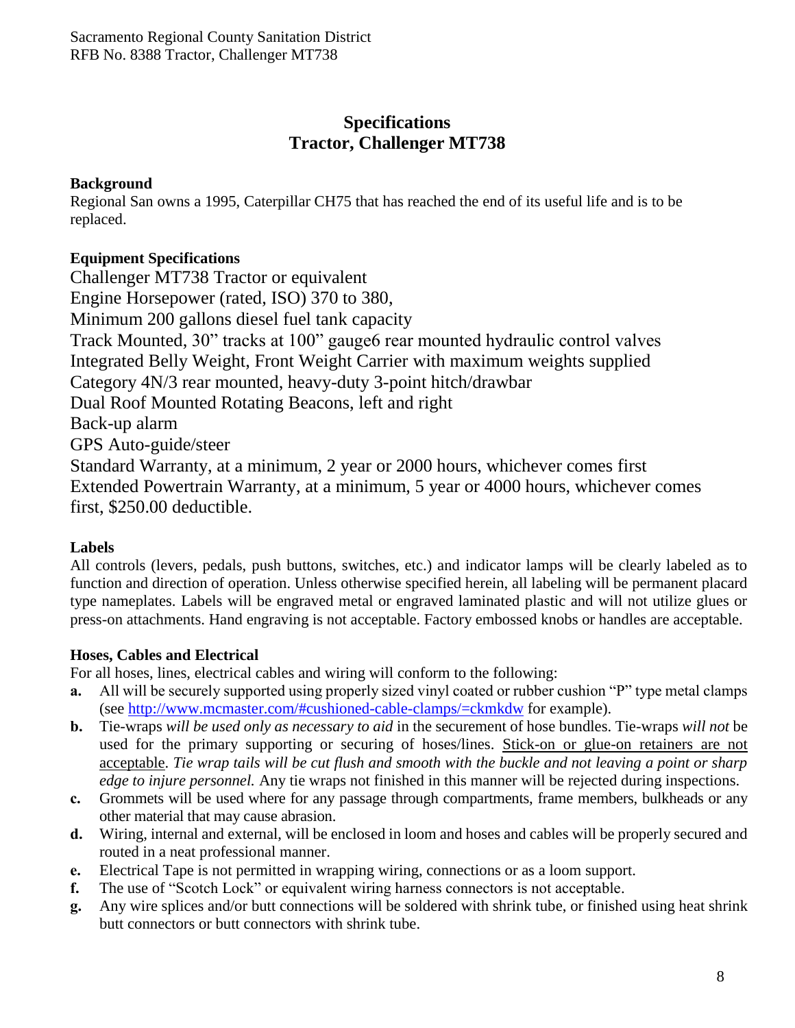## **Specifications Tractor, Challenger MT738**

### **Background**

Regional San owns a 1995, Caterpillar CH75 that has reached the end of its useful life and is to be replaced.

### **Equipment Specifications**

Challenger MT738 Tractor or equivalent Engine Horsepower (rated, ISO) 370 to 380, Minimum 200 gallons diesel fuel tank capacity Track Mounted, 30" tracks at 100" gauge6 rear mounted hydraulic control valves Integrated Belly Weight, Front Weight Carrier with maximum weights supplied Category 4N/3 rear mounted, heavy-duty 3-point hitch/drawbar Dual Roof Mounted Rotating Beacons, left and right Back-up alarm GPS Auto-guide/steer Standard Warranty, at a minimum, 2 year or 2000 hours, whichever comes first Extended Powertrain Warranty, at a minimum, 5 year or 4000 hours, whichever comes first, \$250.00 deductible.

### **Labels**

All controls (levers, pedals, push buttons, switches, etc.) and indicator lamps will be clearly labeled as to function and direction of operation. Unless otherwise specified herein, all labeling will be permanent placard type nameplates. Labels will be engraved metal or engraved laminated plastic and will not utilize glues or press-on attachments. Hand engraving is not acceptable. Factory embossed knobs or handles are acceptable.

### **Hoses, Cables and Electrical**

For all hoses, lines, electrical cables and wiring will conform to the following:

- **a.** All will be securely supported using properly sized vinyl coated or rubber cushion "P" type metal clamps (see<http://www.mcmaster.com/#cushioned-cable-clamps/=ckmkdw> for example).
- **b.** Tie-wraps *will be used only as necessary to aid* in the securement of hose bundles. Tie-wraps *will not* be used for the primary supporting or securing of hoses/lines. Stick-on or glue-on retainers are not acceptable. *Tie wrap tails will be cut flush and smooth with the buckle and not leaving a point or sharp edge to injure personnel.* Any tie wraps not finished in this manner will be rejected during inspections.
- **c.** Grommets will be used where for any passage through compartments, frame members, bulkheads or any other material that may cause abrasion.
- **d.** Wiring, internal and external, will be enclosed in loom and hoses and cables will be properly secured and routed in a neat professional manner.
- **e.** Electrical Tape is not permitted in wrapping wiring, connections or as a loom support.
- **f.** The use of "Scotch Lock" or equivalent wiring harness connectors is not acceptable.
- **g.** Any wire splices and/or butt connections will be soldered with shrink tube, or finished using heat shrink butt connectors or butt connectors with shrink tube.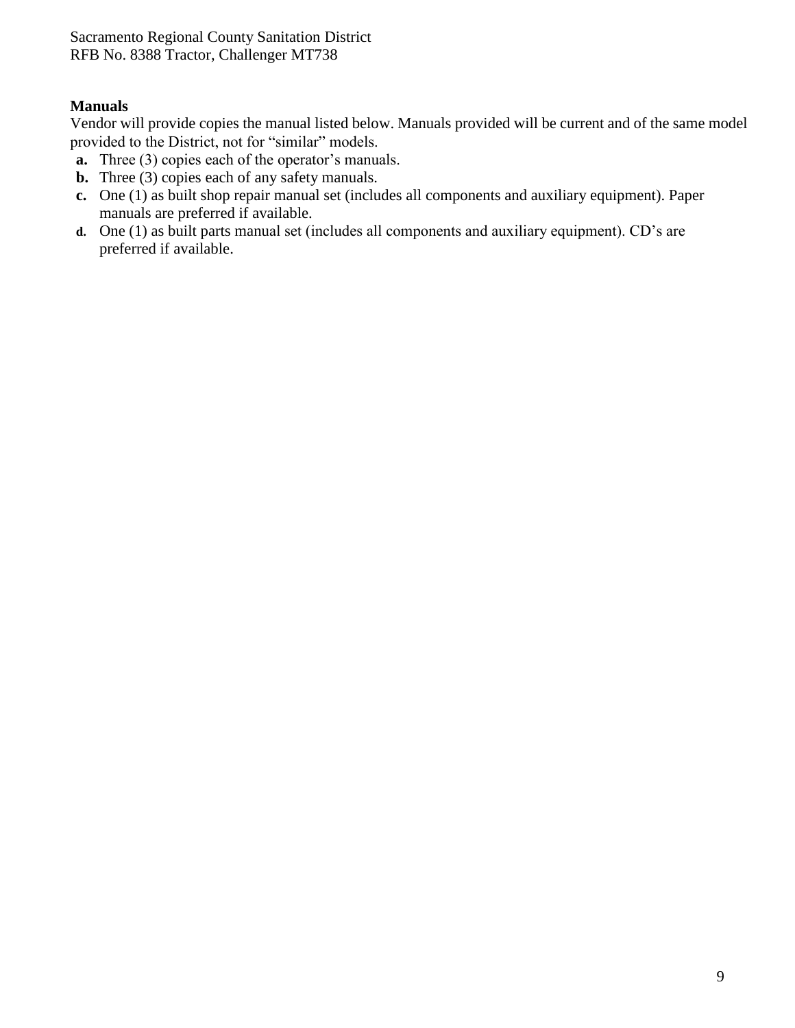### **Manuals**

Vendor will provide copies the manual listed below. Manuals provided will be current and of the same model provided to the District, not for "similar" models.

- **a.** Three (3) copies each of the operator's manuals.
- **b.** Three (3) copies each of any safety manuals.
- **c.** One (1) as built shop repair manual set (includes all components and auxiliary equipment). Paper manuals are preferred if available.
- **d.** One (1) as built parts manual set (includes all components and auxiliary equipment). CD's are preferred if available.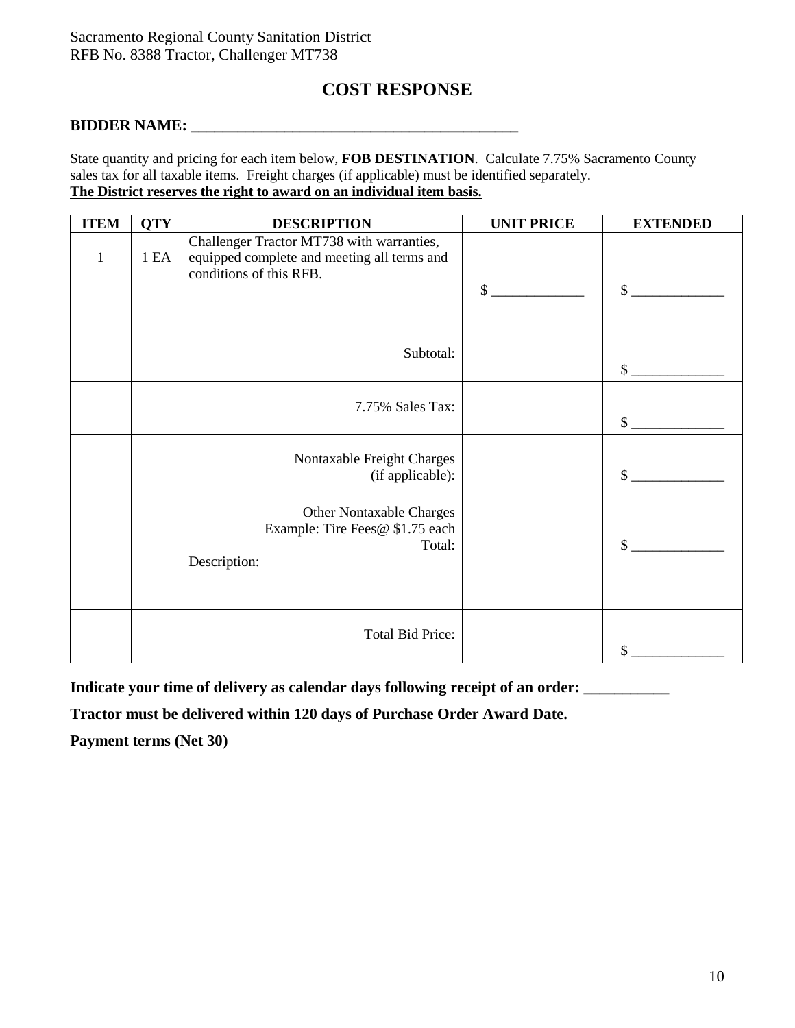## **COST RESPONSE**

#### **BIDDER NAME: \_\_\_\_\_\_\_\_\_\_\_\_\_\_\_\_\_\_\_\_\_\_\_\_\_\_\_\_\_\_\_\_\_\_\_\_\_\_\_\_\_\_**

State quantity and pricing for each item below, **FOB DESTINATION**. Calculate 7.75% Sacramento County sales tax for all taxable items. Freight charges (if applicable) must be identified separately. **The District reserves the right to award on an individual item basis.**

| <b>ITEM</b>  | <b>QTY</b> | <b>DESCRIPTION</b>                                                                                                  | <b>UNIT PRICE</b> | <b>EXTENDED</b> |
|--------------|------------|---------------------------------------------------------------------------------------------------------------------|-------------------|-----------------|
| $\mathbf{1}$ | 1EA        | Challenger Tractor MT738 with warranties,<br>equipped complete and meeting all terms and<br>conditions of this RFB. | $\mathbb{S}$      | \$              |
|              |            | Subtotal:                                                                                                           |                   | $\sim$          |
|              |            | 7.75% Sales Tax:                                                                                                    |                   | $\mathbb{S}^-$  |
|              |            | Nontaxable Freight Charges<br>(if applicable):                                                                      |                   | $\sim$          |
|              |            | <b>Other Nontaxable Charges</b><br>Example: Tire Fees@ \$1.75 each<br>Total:<br>Description:                        |                   | \$              |
|              |            | <b>Total Bid Price:</b>                                                                                             |                   | \$              |

Indicate your time of delivery as calendar days following receipt of an order:

**Tractor must be delivered within 120 days of Purchase Order Award Date.**

**Payment terms (Net 30)**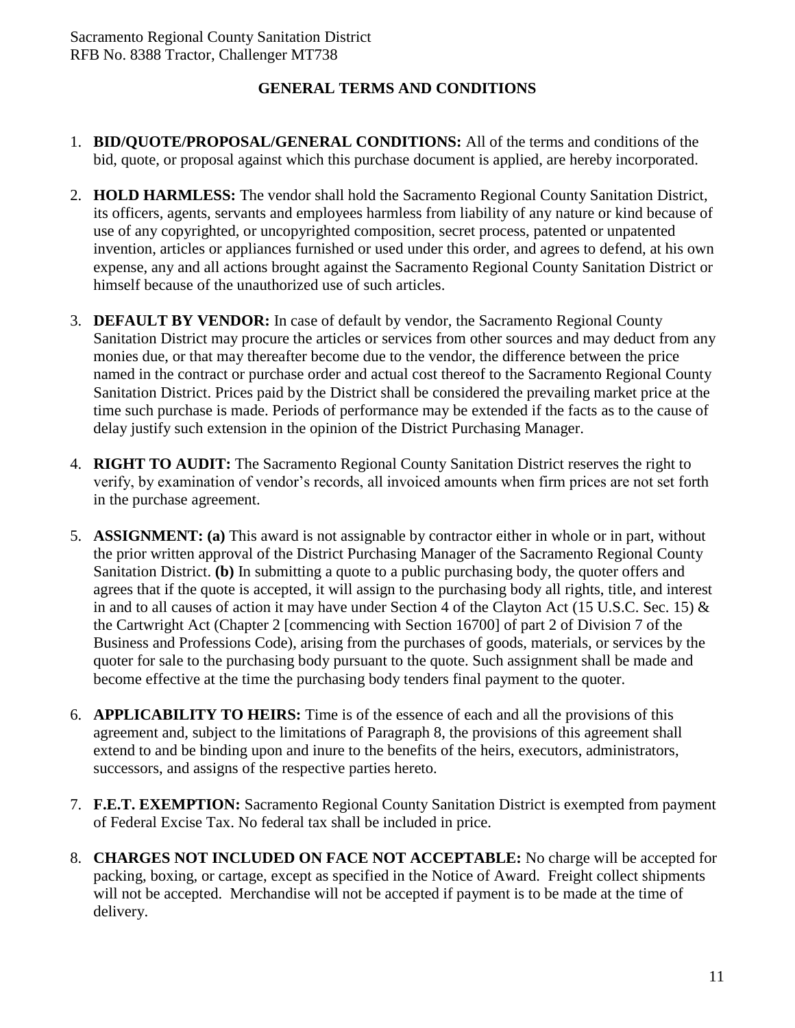### **GENERAL TERMS AND CONDITIONS**

- 1. **BID/QUOTE/PROPOSAL/GENERAL CONDITIONS:** All of the terms and conditions of the bid, quote, or proposal against which this purchase document is applied, are hereby incorporated.
- 2. **HOLD HARMLESS:** The vendor shall hold the Sacramento Regional County Sanitation District, its officers, agents, servants and employees harmless from liability of any nature or kind because of use of any copyrighted, or uncopyrighted composition, secret process, patented or unpatented invention, articles or appliances furnished or used under this order, and agrees to defend, at his own expense, any and all actions brought against the Sacramento Regional County Sanitation District or himself because of the unauthorized use of such articles.
- 3. **DEFAULT BY VENDOR:** In case of default by vendor, the Sacramento Regional County Sanitation District may procure the articles or services from other sources and may deduct from any monies due, or that may thereafter become due to the vendor, the difference between the price named in the contract or purchase order and actual cost thereof to the Sacramento Regional County Sanitation District. Prices paid by the District shall be considered the prevailing market price at the time such purchase is made. Periods of performance may be extended if the facts as to the cause of delay justify such extension in the opinion of the District Purchasing Manager.
- 4. **RIGHT TO AUDIT:** The Sacramento Regional County Sanitation District reserves the right to verify, by examination of vendor's records, all invoiced amounts when firm prices are not set forth in the purchase agreement.
- 5. **ASSIGNMENT: (a)** This award is not assignable by contractor either in whole or in part, without the prior written approval of the District Purchasing Manager of the Sacramento Regional County Sanitation District. **(b)** In submitting a quote to a public purchasing body, the quoter offers and agrees that if the quote is accepted, it will assign to the purchasing body all rights, title, and interest in and to all causes of action it may have under Section 4 of the Clayton Act (15 U.S.C. Sec. 15) & the Cartwright Act (Chapter 2 [commencing with Section 16700] of part 2 of Division 7 of the Business and Professions Code), arising from the purchases of goods, materials, or services by the quoter for sale to the purchasing body pursuant to the quote. Such assignment shall be made and become effective at the time the purchasing body tenders final payment to the quoter.
- 6. **APPLICABILITY TO HEIRS:** Time is of the essence of each and all the provisions of this agreement and, subject to the limitations of Paragraph 8, the provisions of this agreement shall extend to and be binding upon and inure to the benefits of the heirs, executors, administrators, successors, and assigns of the respective parties hereto.
- 7. **F.E.T. EXEMPTION:** Sacramento Regional County Sanitation District is exempted from payment of Federal Excise Tax. No federal tax shall be included in price.
- 8. **CHARGES NOT INCLUDED ON FACE NOT ACCEPTABLE:** No charge will be accepted for packing, boxing, or cartage, except as specified in the Notice of Award. Freight collect shipments will not be accepted. Merchandise will not be accepted if payment is to be made at the time of delivery.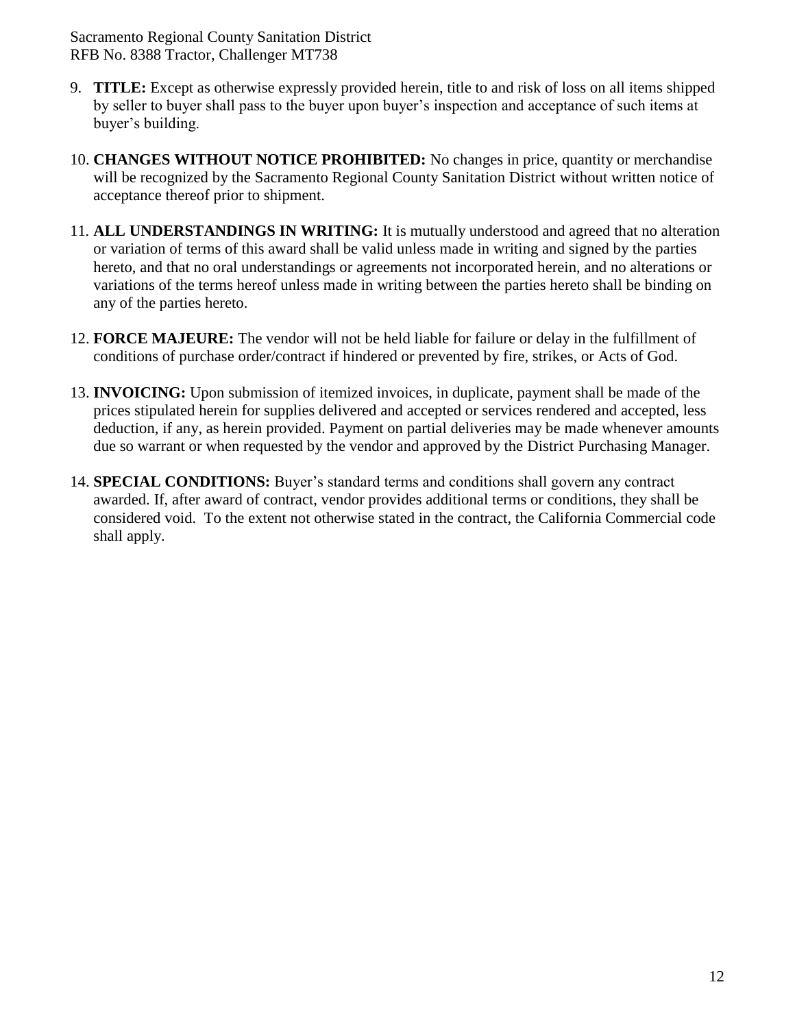- 9. **TITLE:** Except as otherwise expressly provided herein, title to and risk of loss on all items shipped by seller to buyer shall pass to the buyer upon buyer's inspection and acceptance of such items at buyer's building.
- 10. **CHANGES WITHOUT NOTICE PROHIBITED:** No changes in price, quantity or merchandise will be recognized by the Sacramento Regional County Sanitation District without written notice of acceptance thereof prior to shipment.
- 11*.* **ALL UNDERSTANDINGS IN WRITING:** It is mutually understood and agreed that no alteration or variation of terms of this award shall be valid unless made in writing and signed by the parties hereto, and that no oral understandings or agreements not incorporated herein, and no alterations or variations of the terms hereof unless made in writing between the parties hereto shall be binding on any of the parties hereto.
- 12. **FORCE MAJEURE:** The vendor will not be held liable for failure or delay in the fulfillment of conditions of purchase order/contract if hindered or prevented by fire, strikes, or Acts of God.
- 13. **INVOICING:** Upon submission of itemized invoices, in duplicate, payment shall be made of the prices stipulated herein for supplies delivered and accepted or services rendered and accepted, less deduction, if any, as herein provided. Payment on partial deliveries may be made whenever amounts due so warrant or when requested by the vendor and approved by the District Purchasing Manager.
- 14. **SPECIAL CONDITIONS:** Buyer's standard terms and conditions shall govern any contract awarded. If, after award of contract, vendor provides additional terms or conditions, they shall be considered void. To the extent not otherwise stated in the contract, the California Commercial code shall apply.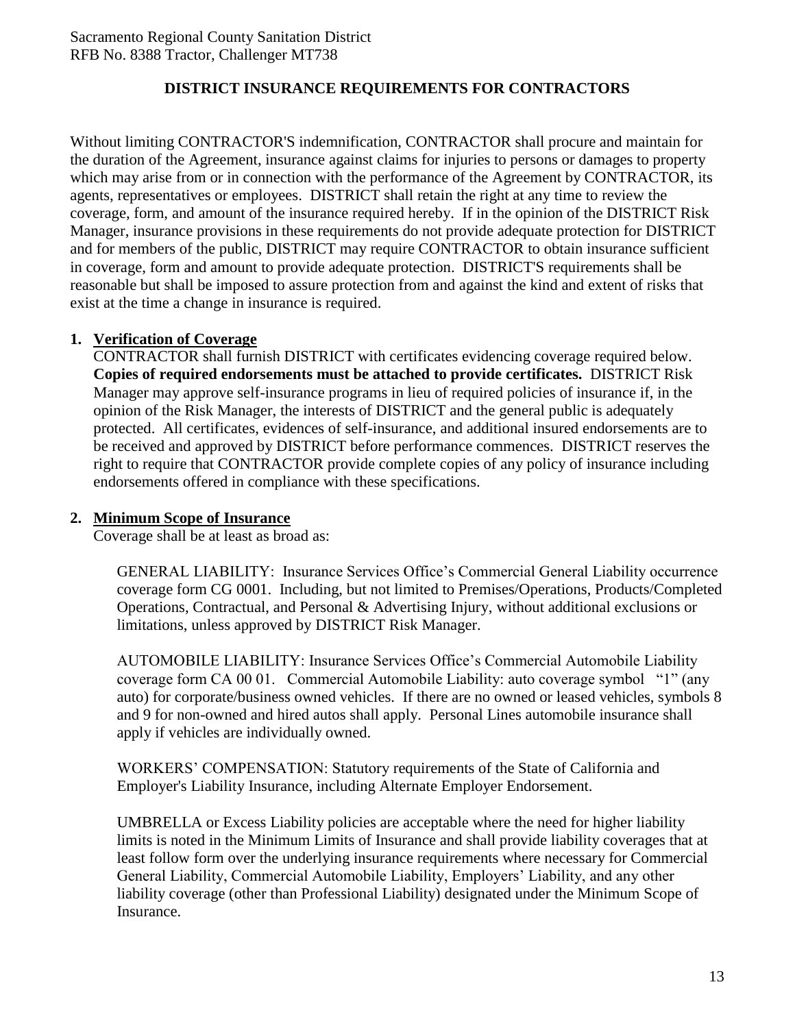### **DISTRICT INSURANCE REQUIREMENTS FOR CONTRACTORS**

Without limiting CONTRACTOR'S indemnification, CONTRACTOR shall procure and maintain for the duration of the Agreement, insurance against claims for injuries to persons or damages to property which may arise from or in connection with the performance of the Agreement by CONTRACTOR, its agents, representatives or employees. DISTRICT shall retain the right at any time to review the coverage, form, and amount of the insurance required hereby. If in the opinion of the DISTRICT Risk Manager, insurance provisions in these requirements do not provide adequate protection for DISTRICT and for members of the public, DISTRICT may require CONTRACTOR to obtain insurance sufficient in coverage, form and amount to provide adequate protection. DISTRICT'S requirements shall be reasonable but shall be imposed to assure protection from and against the kind and extent of risks that exist at the time a change in insurance is required.

#### **1. Verification of Coverage**

CONTRACTOR shall furnish DISTRICT with certificates evidencing coverage required below. **Copies of required endorsements must be attached to provide certificates.** DISTRICT Risk Manager may approve self-insurance programs in lieu of required policies of insurance if, in the opinion of the Risk Manager, the interests of DISTRICT and the general public is adequately protected. All certificates, evidences of self-insurance, and additional insured endorsements are to be received and approved by DISTRICT before performance commences. DISTRICT reserves the right to require that CONTRACTOR provide complete copies of any policy of insurance including endorsements offered in compliance with these specifications.

#### **2. Minimum Scope of Insurance**

Coverage shall be at least as broad as:

GENERAL LIABILITY: Insurance Services Office's Commercial General Liability occurrence coverage form CG 0001. Including, but not limited to Premises/Operations, Products/Completed Operations, Contractual, and Personal & Advertising Injury, without additional exclusions or limitations, unless approved by DISTRICT Risk Manager.

AUTOMOBILE LIABILITY: Insurance Services Office's Commercial Automobile Liability coverage form CA 00 01. Commercial Automobile Liability: auto coverage symbol "1" (any auto) for corporate/business owned vehicles. If there are no owned or leased vehicles, symbols 8 and 9 for non-owned and hired autos shall apply. Personal Lines automobile insurance shall apply if vehicles are individually owned.

WORKERS' COMPENSATION: Statutory requirements of the State of California and Employer's Liability Insurance, including Alternate Employer Endorsement.

UMBRELLA or Excess Liability policies are acceptable where the need for higher liability limits is noted in the Minimum Limits of Insurance and shall provide liability coverages that at least follow form over the underlying insurance requirements where necessary for Commercial General Liability, Commercial Automobile Liability, Employers' Liability, and any other liability coverage (other than Professional Liability) designated under the Minimum Scope of Insurance.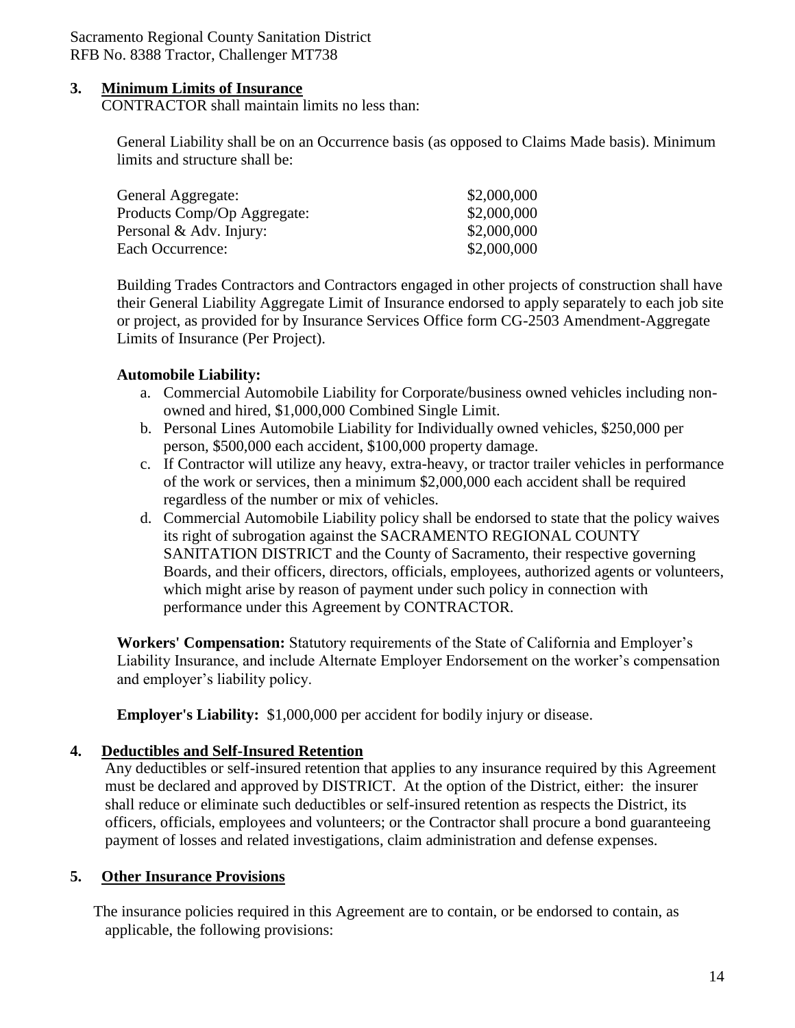#### **3. Minimum Limits of Insurance**

CONTRACTOR shall maintain limits no less than:

General Liability shall be on an Occurrence basis (as opposed to Claims Made basis). Minimum limits and structure shall be:

| General Aggregate:          | \$2,000,000 |
|-----------------------------|-------------|
| Products Comp/Op Aggregate: | \$2,000,000 |
| Personal & Adv. Injury:     | \$2,000,000 |
| Each Occurrence:            | \$2,000,000 |
|                             |             |

Building Trades Contractors and Contractors engaged in other projects of construction shall have their General Liability Aggregate Limit of Insurance endorsed to apply separately to each job site or project, as provided for by Insurance Services Office form CG-2503 Amendment-Aggregate Limits of Insurance (Per Project).

#### **Automobile Liability:**

- a. Commercial Automobile Liability for Corporate/business owned vehicles including nonowned and hired, \$1,000,000 Combined Single Limit.
- b. Personal Lines Automobile Liability for Individually owned vehicles, \$250,000 per person, \$500,000 each accident, \$100,000 property damage.
- c. If Contractor will utilize any heavy, extra-heavy, or tractor trailer vehicles in performance of the work or services, then a minimum \$2,000,000 each accident shall be required regardless of the number or mix of vehicles.
- d. Commercial Automobile Liability policy shall be endorsed to state that the policy waives its right of subrogation against the SACRAMENTO REGIONAL COUNTY SANITATION DISTRICT and the County of Sacramento, their respective governing Boards, and their officers, directors, officials, employees, authorized agents or volunteers, which might arise by reason of payment under such policy in connection with performance under this Agreement by CONTRACTOR.

**Workers' Compensation:** Statutory requirements of the State of California and Employer's Liability Insurance, and include Alternate Employer Endorsement on the worker's compensation and employer's liability policy.

**Employer's Liability:** \$1,000,000 per accident for bodily injury or disease.

#### **4. Deductibles and Self-Insured Retention**

Any deductibles or self-insured retention that applies to any insurance required by this Agreement must be declared and approved by DISTRICT. At the option of the District, either: the insurer shall reduce or eliminate such deductibles or self-insured retention as respects the District, its officers, officials, employees and volunteers; or the Contractor shall procure a bond guaranteeing payment of losses and related investigations, claim administration and defense expenses.

#### **5. Other Insurance Provisions**

The insurance policies required in this Agreement are to contain, or be endorsed to contain, as applicable, the following provisions: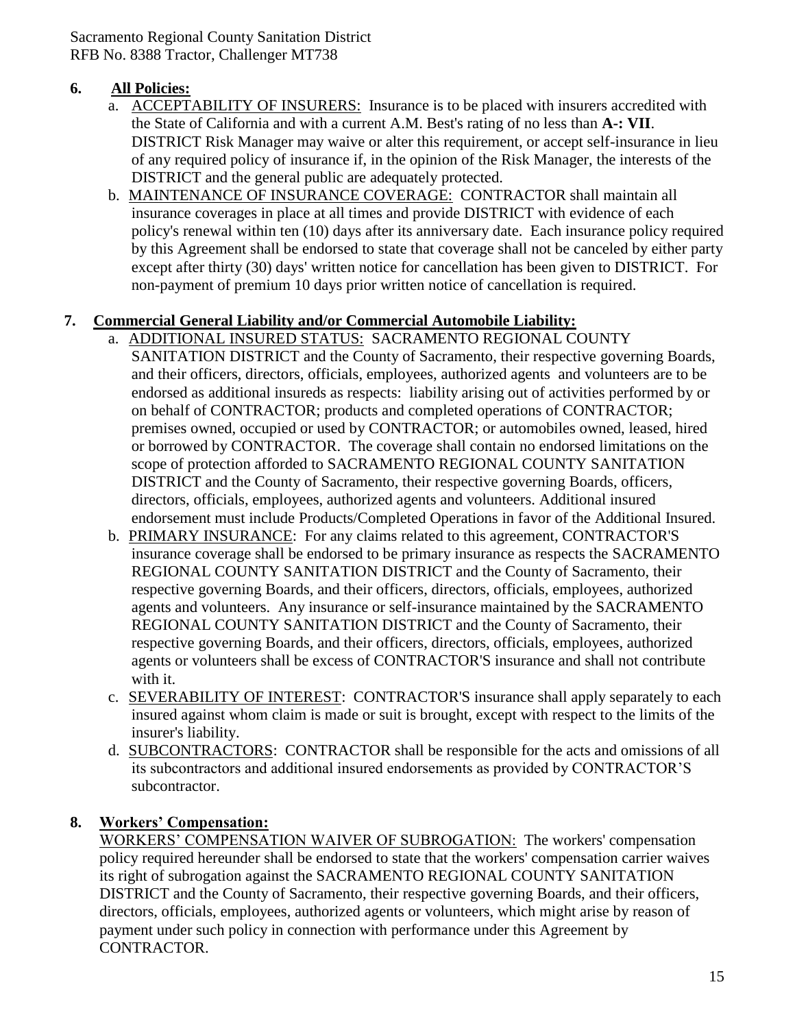### **6. All Policies:**

- a. ACCEPTABILITY OF INSURERS: Insurance is to be placed with insurers accredited with the State of California and with a current A.M. Best's rating of no less than **A-: VII**. DISTRICT Risk Manager may waive or alter this requirement, or accept self-insurance in lieu of any required policy of insurance if, in the opinion of the Risk Manager, the interests of the DISTRICT and the general public are adequately protected.
- b. MAINTENANCE OF INSURANCE COVERAGE: CONTRACTOR shall maintain all insurance coverages in place at all times and provide DISTRICT with evidence of each policy's renewal within ten (10) days after its anniversary date. Each insurance policy required by this Agreement shall be endorsed to state that coverage shall not be canceled by either party except after thirty (30) days' written notice for cancellation has been given to DISTRICT. For non-payment of premium 10 days prior written notice of cancellation is required.

### **7. Commercial General Liability and/or Commercial Automobile Liability:**

- a. ADDITIONAL INSURED STATUS: SACRAMENTO REGIONAL COUNTY SANITATION DISTRICT and the County of Sacramento, their respective governing Boards, and their officers, directors, officials, employees, authorized agents and volunteers are to be endorsed as additional insureds as respects: liability arising out of activities performed by or on behalf of CONTRACTOR; products and completed operations of CONTRACTOR; premises owned, occupied or used by CONTRACTOR; or automobiles owned, leased, hired or borrowed by CONTRACTOR. The coverage shall contain no endorsed limitations on the scope of protection afforded to SACRAMENTO REGIONAL COUNTY SANITATION DISTRICT and the County of Sacramento, their respective governing Boards, officers, directors, officials, employees, authorized agents and volunteers. Additional insured endorsement must include Products/Completed Operations in favor of the Additional Insured.
- b. PRIMARY INSURANCE: For any claims related to this agreement, CONTRACTOR'S insurance coverage shall be endorsed to be primary insurance as respects the SACRAMENTO REGIONAL COUNTY SANITATION DISTRICT and the County of Sacramento, their respective governing Boards, and their officers, directors, officials, employees, authorized agents and volunteers. Any insurance or self-insurance maintained by the SACRAMENTO REGIONAL COUNTY SANITATION DISTRICT and the County of Sacramento, their respective governing Boards, and their officers, directors, officials, employees, authorized agents or volunteers shall be excess of CONTRACTOR'S insurance and shall not contribute with it.
- c. SEVERABILITY OF INTEREST: CONTRACTOR'S insurance shall apply separately to each insured against whom claim is made or suit is brought, except with respect to the limits of the insurer's liability.
- d. SUBCONTRACTORS: CONTRACTOR shall be responsible for the acts and omissions of all its subcontractors and additional insured endorsements as provided by CONTRACTOR'S subcontractor.

#### **8. Workers' Compensation:**

WORKERS' COMPENSATION WAIVER OF SUBROGATION: The workers' compensation policy required hereunder shall be endorsed to state that the workers' compensation carrier waives its right of subrogation against the SACRAMENTO REGIONAL COUNTY SANITATION DISTRICT and the County of Sacramento, their respective governing Boards, and their officers, directors, officials, employees, authorized agents or volunteers, which might arise by reason of payment under such policy in connection with performance under this Agreement by CONTRACTOR.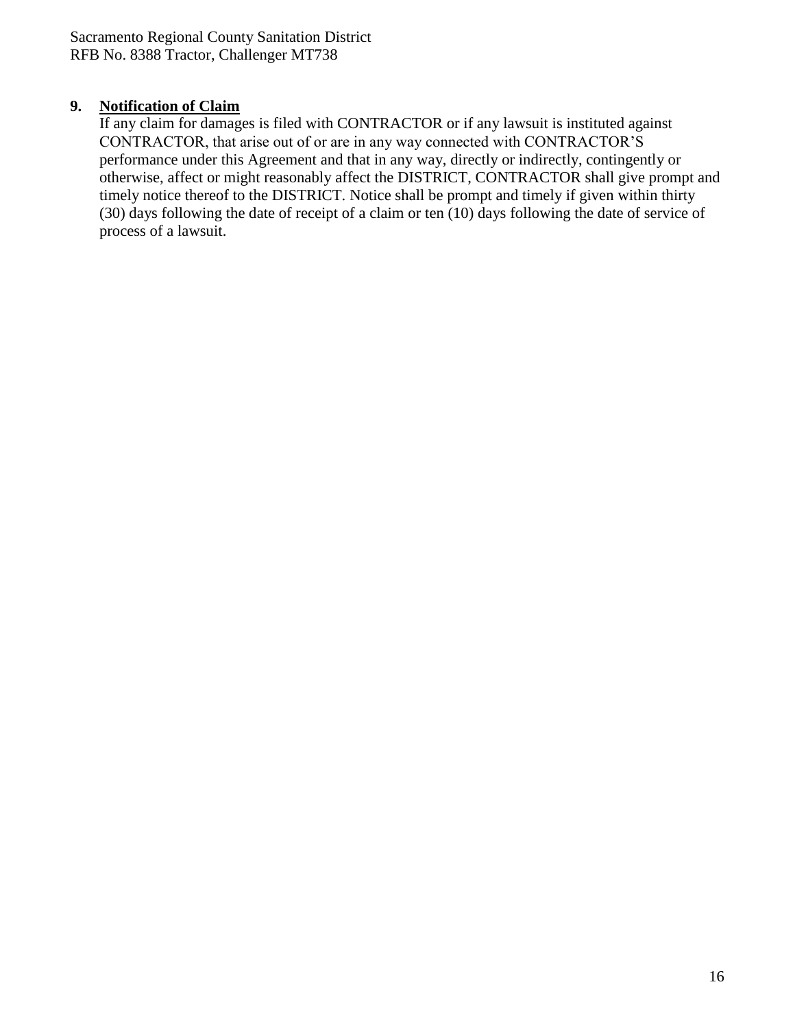### **9. Notification of Claim**

If any claim for damages is filed with CONTRACTOR or if any lawsuit is instituted against CONTRACTOR, that arise out of or are in any way connected with CONTRACTOR'S performance under this Agreement and that in any way, directly or indirectly, contingently or otherwise, affect or might reasonably affect the DISTRICT, CONTRACTOR shall give prompt and timely notice thereof to the DISTRICT. Notice shall be prompt and timely if given within thirty (30) days following the date of receipt of a claim or ten (10) days following the date of service of process of a lawsuit.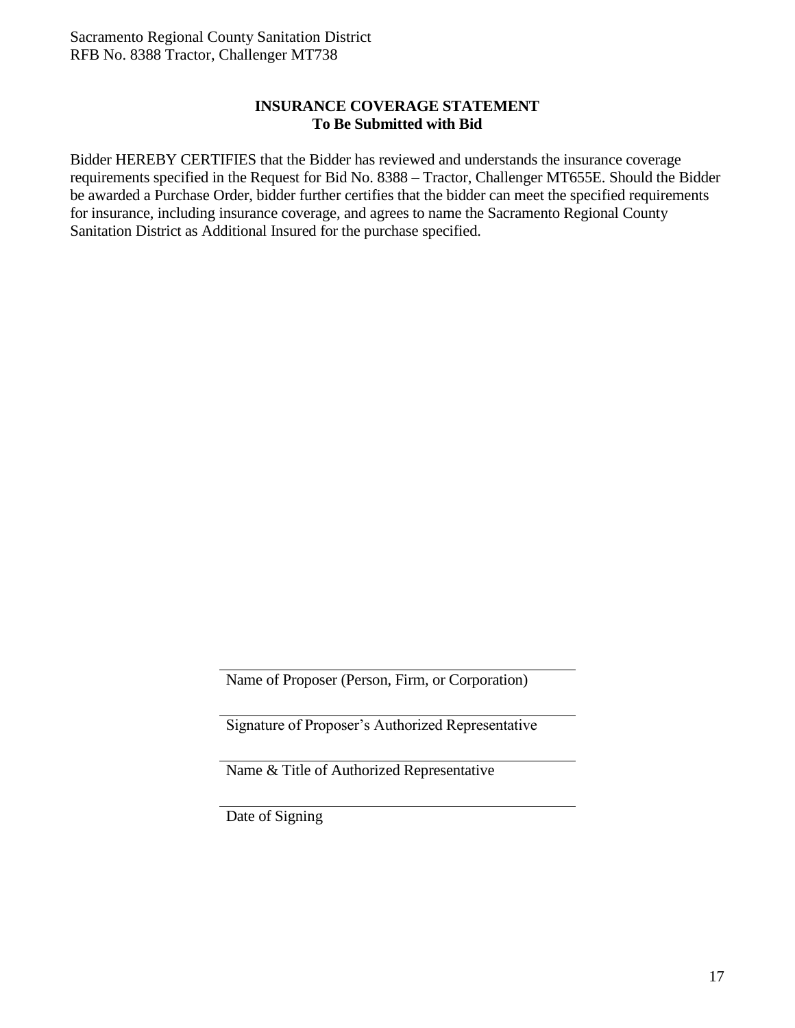### **INSURANCE COVERAGE STATEMENT To Be Submitted with Bid**

Bidder HEREBY CERTIFIES that the Bidder has reviewed and understands the insurance coverage requirements specified in the Request for Bid No. 8388 – Tractor, Challenger MT655E. Should the Bidder be awarded a Purchase Order, bidder further certifies that the bidder can meet the specified requirements for insurance, including insurance coverage, and agrees to name the Sacramento Regional County Sanitation District as Additional Insured for the purchase specified.

Name of Proposer (Person, Firm, or Corporation)

Signature of Proposer's Authorized Representative

Name & Title of Authorized Representative

Date of Signing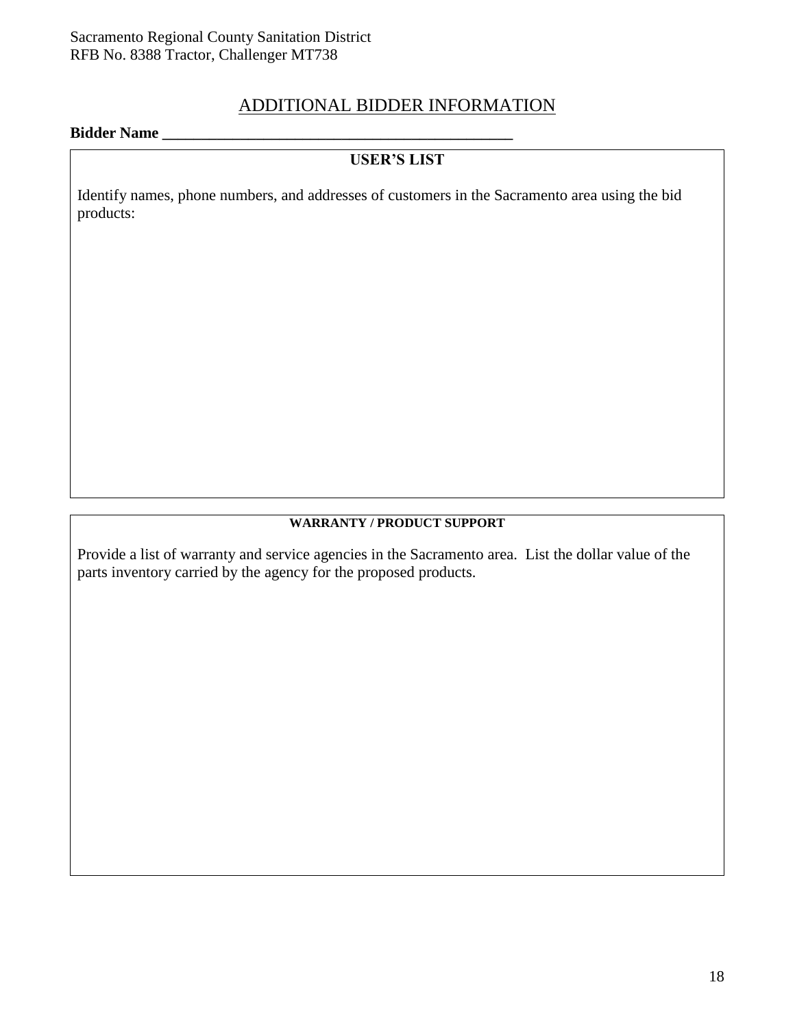### ADDITIONAL BIDDER INFORMATION

#### **Bidder Name \_\_\_\_\_\_\_\_\_\_\_\_\_\_\_\_\_\_\_\_\_\_\_\_\_\_\_\_\_\_\_\_\_\_\_\_\_\_\_\_\_\_\_\_\_**

## **USER'S LIST**

Identify names, phone numbers, and addresses of customers in the Sacramento area using the bid products:

#### **WARRANTY / PRODUCT SUPPORT**

Provide a list of warranty and service agencies in the Sacramento area. List the dollar value of the parts inventory carried by the agency for the proposed products.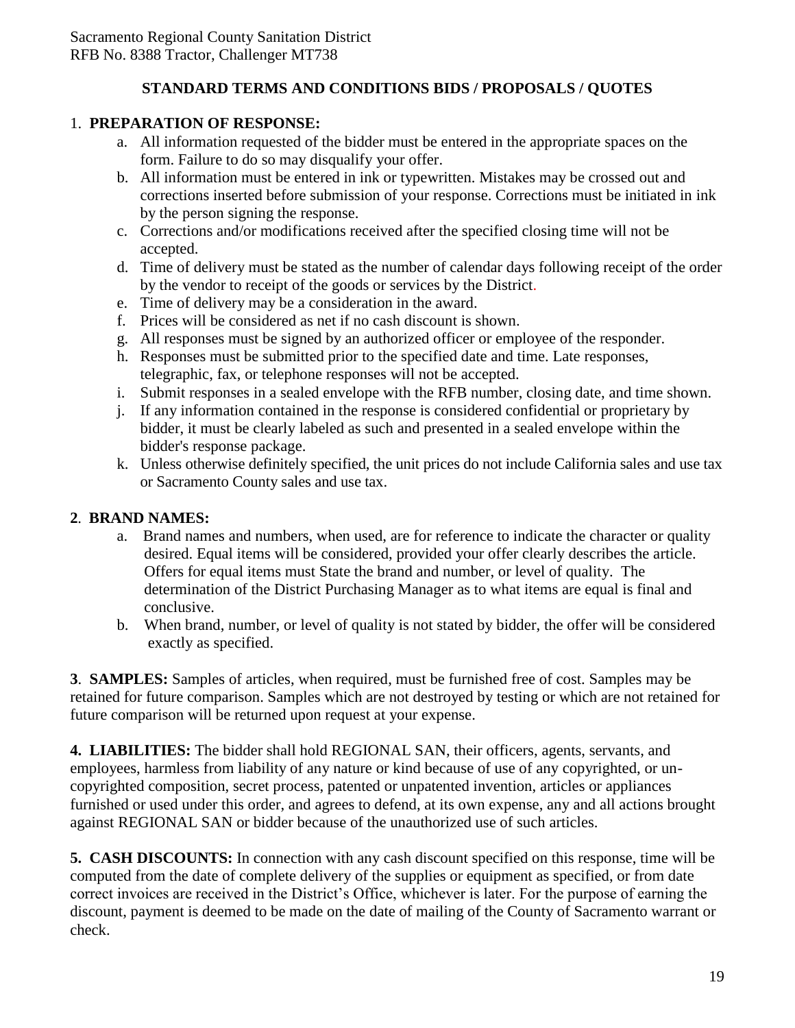### **STANDARD TERMS AND CONDITIONS BIDS / PROPOSALS / QUOTES**

### 1. **PREPARATION OF RESPONSE:**

- a. All information requested of the bidder must be entered in the appropriate spaces on the form. Failure to do so may disqualify your offer.
- b. All information must be entered in ink or typewritten. Mistakes may be crossed out and corrections inserted before submission of your response. Corrections must be initiated in ink by the person signing the response.
- c. Corrections and/or modifications received after the specified closing time will not be accepted.
- d. Time of delivery must be stated as the number of calendar days following receipt of the order by the vendor to receipt of the goods or services by the District.
- e. Time of delivery may be a consideration in the award.
- f. Prices will be considered as net if no cash discount is shown.
- g. All responses must be signed by an authorized officer or employee of the responder.
- h. Responses must be submitted prior to the specified date and time. Late responses, telegraphic, fax, or telephone responses will not be accepted.
- i. Submit responses in a sealed envelope with the RFB number, closing date, and time shown.
- j. If any information contained in the response is considered confidential or proprietary by bidder, it must be clearly labeled as such and presented in a sealed envelope within the bidder's response package.
- k. Unless otherwise definitely specified, the unit prices do not include California sales and use tax or Sacramento County sales and use tax.

### **2**. **BRAND NAMES:**

- a. Brand names and numbers, when used, are for reference to indicate the character or quality desired. Equal items will be considered, provided your offer clearly describes the article. Offers for equal items must State the brand and number, or level of quality. The determination of the District Purchasing Manager as to what items are equal is final and conclusive.
- b. When brand, number, or level of quality is not stated by bidder, the offer will be considered exactly as specified.

**3**. **SAMPLES:** Samples of articles, when required, must be furnished free of cost. Samples may be retained for future comparison. Samples which are not destroyed by testing or which are not retained for future comparison will be returned upon request at your expense.

**4. LIABILITIES:** The bidder shall hold REGIONAL SAN, their officers, agents, servants, and employees, harmless from liability of any nature or kind because of use of any copyrighted, or uncopyrighted composition, secret process, patented or unpatented invention, articles or appliances furnished or used under this order, and agrees to defend, at its own expense, any and all actions brought against REGIONAL SAN or bidder because of the unauthorized use of such articles.

**5. CASH DISCOUNTS:** In connection with any cash discount specified on this response, time will be computed from the date of complete delivery of the supplies or equipment as specified, or from date correct invoices are received in the District's Office, whichever is later. For the purpose of earning the discount, payment is deemed to be made on the date of mailing of the County of Sacramento warrant or check.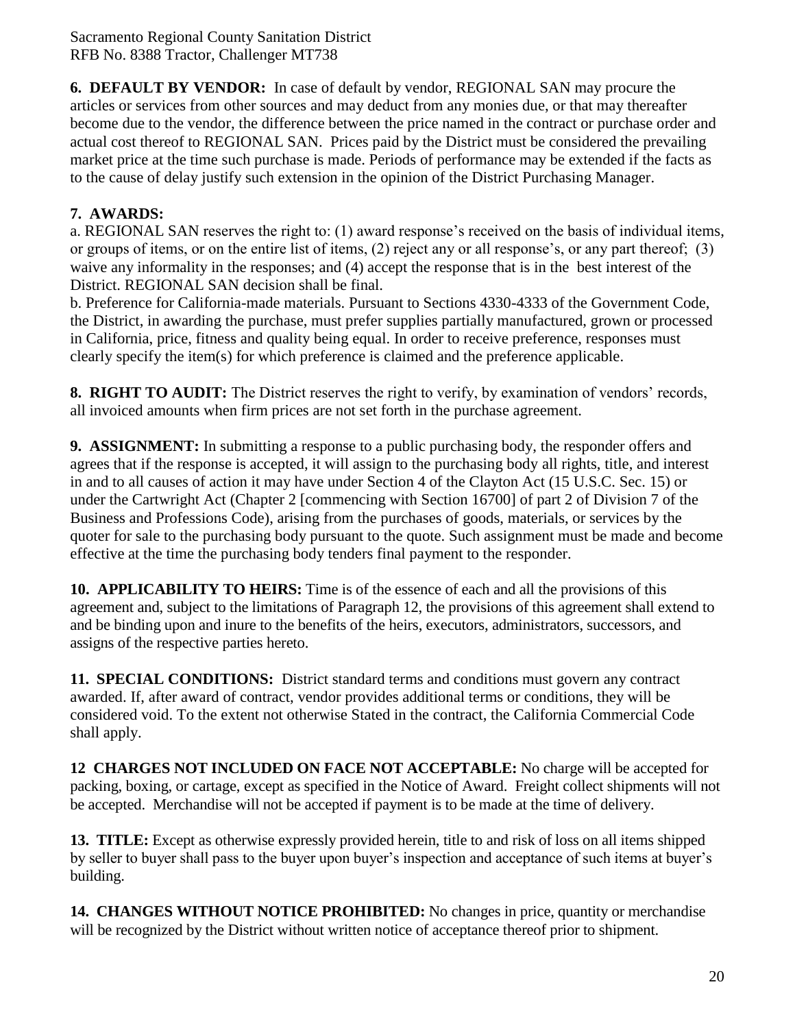**6. DEFAULT BY VENDOR:** In case of default by vendor, REGIONAL SAN may procure the articles or services from other sources and may deduct from any monies due, or that may thereafter become due to the vendor, the difference between the price named in the contract or purchase order and actual cost thereof to REGIONAL SAN. Prices paid by the District must be considered the prevailing market price at the time such purchase is made. Periods of performance may be extended if the facts as to the cause of delay justify such extension in the opinion of the District Purchasing Manager.

## **7. AWARDS:**

a. REGIONAL SAN reserves the right to: (1) award response's received on the basis of individual items, or groups of items, or on the entire list of items, (2) reject any or all response's, or any part thereof; (3) waive any informality in the responses; and (4) accept the response that is in the best interest of the District. REGIONAL SAN decision shall be final.

b. Preference for California-made materials. Pursuant to Sections 4330-4333 of the Government Code, the District, in awarding the purchase, must prefer supplies partially manufactured, grown or processed in California, price, fitness and quality being equal. In order to receive preference, responses must clearly specify the item(s) for which preference is claimed and the preference applicable.

**8. RIGHT TO AUDIT:** The District reserves the right to verify, by examination of vendors' records, all invoiced amounts when firm prices are not set forth in the purchase agreement.

**9. ASSIGNMENT:** In submitting a response to a public purchasing body, the responder offers and agrees that if the response is accepted, it will assign to the purchasing body all rights, title, and interest in and to all causes of action it may have under Section 4 of the Clayton Act (15 U.S.C. Sec. 15) or under the Cartwright Act (Chapter 2 [commencing with Section 16700] of part 2 of Division 7 of the Business and Professions Code), arising from the purchases of goods, materials, or services by the quoter for sale to the purchasing body pursuant to the quote. Such assignment must be made and become effective at the time the purchasing body tenders final payment to the responder.

**10. APPLICABILITY TO HEIRS:** Time is of the essence of each and all the provisions of this agreement and, subject to the limitations of Paragraph 12, the provisions of this agreement shall extend to and be binding upon and inure to the benefits of the heirs, executors, administrators, successors, and assigns of the respective parties hereto.

**11. SPECIAL CONDITIONS:** District standard terms and conditions must govern any contract awarded. If, after award of contract, vendor provides additional terms or conditions, they will be considered void. To the extent not otherwise Stated in the contract, the California Commercial Code shall apply.

**12 CHARGES NOT INCLUDED ON FACE NOT ACCEPTABLE:** No charge will be accepted for packing, boxing, or cartage, except as specified in the Notice of Award. Freight collect shipments will not be accepted. Merchandise will not be accepted if payment is to be made at the time of delivery.

**13. TITLE:** Except as otherwise expressly provided herein, title to and risk of loss on all items shipped by seller to buyer shall pass to the buyer upon buyer's inspection and acceptance of such items at buyer's building.

**14. CHANGES WITHOUT NOTICE PROHIBITED:** No changes in price, quantity or merchandise will be recognized by the District without written notice of acceptance thereof prior to shipment.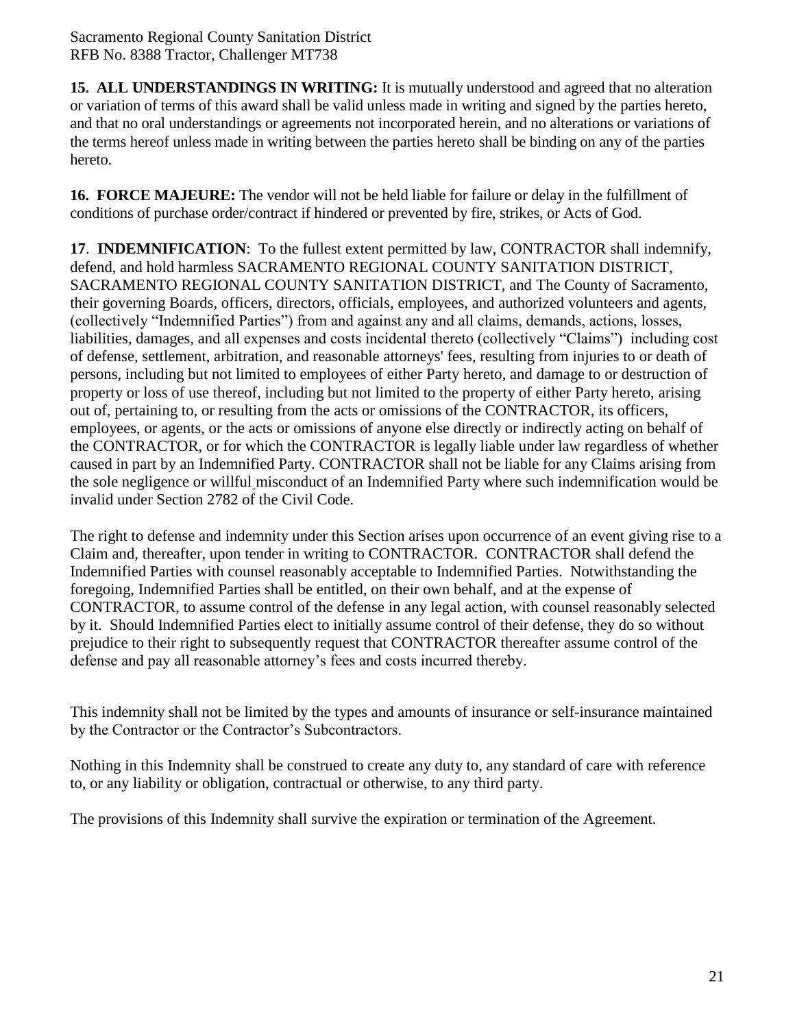**15. ALL UNDERSTANDINGS IN WRITING:** It is mutually understood and agreed that no alteration or variation of terms of this award shall be valid unless made in writing and signed by the parties hereto, and that no oral understandings or agreements not incorporated herein, and no alterations or variations of the terms hereof unless made in writing between the parties hereto shall be binding on any of the parties hereto.

**16. FORCE MAJEURE:** The vendor will not be held liable for failure or delay in the fulfillment of conditions of purchase order/contract if hindered or prevented by fire, strikes, or Acts of God.

**17**. **INDEMNIFICATION**: To the fullest extent permitted by law, CONTRACTOR shall indemnify, defend, and hold harmless SACRAMENTO REGIONAL COUNTY SANITATION DISTRICT, SACRAMENTO REGIONAL COUNTY SANITATION DISTRICT, and The County of Sacramento, their governing Boards, officers, directors, officials, employees, and authorized volunteers and agents, (collectively "Indemnified Parties") from and against any and all claims, demands, actions, losses, liabilities, damages, and all expenses and costs incidental thereto (collectively "Claims") including cost of defense, settlement, arbitration, and reasonable attorneys' fees, resulting from injuries to or death of persons, including but not limited to employees of either Party hereto, and damage to or destruction of property or loss of use thereof, including but not limited to the property of either Party hereto, arising out of, pertaining to, or resulting from the acts or omissions of the CONTRACTOR, its officers, employees, or agents, or the acts or omissions of anyone else directly or indirectly acting on behalf of the CONTRACTOR, or for which the CONTRACTOR is legally liable under law regardless of whether caused in part by an Indemnified Party. CONTRACTOR shall not be liable for any Claims arising from the sole negligence or willful misconduct of an Indemnified Party where such indemnification would be invalid under Section 2782 of the Civil Code.

The right to defense and indemnity under this Section arises upon occurrence of an event giving rise to a Claim and, thereafter, upon tender in writing to CONTRACTOR. CONTRACTOR shall defend the Indemnified Parties with counsel reasonably acceptable to Indemnified Parties. Notwithstanding the foregoing, Indemnified Parties shall be entitled, on their own behalf, and at the expense of CONTRACTOR, to assume control of the defense in any legal action, with counsel reasonably selected by it. Should Indemnified Parties elect to initially assume control of their defense, they do so without prejudice to their right to subsequently request that CONTRACTOR thereafter assume control of the defense and pay all reasonable attorney's fees and costs incurred thereby.

This indemnity shall not be limited by the types and amounts of insurance or self-insurance maintained by the Contractor or the Contractor's Subcontractors.

Nothing in this Indemnity shall be construed to create any duty to, any standard of care with reference to, or any liability or obligation, contractual or otherwise, to any third party.

The provisions of this Indemnity shall survive the expiration or termination of the Agreement.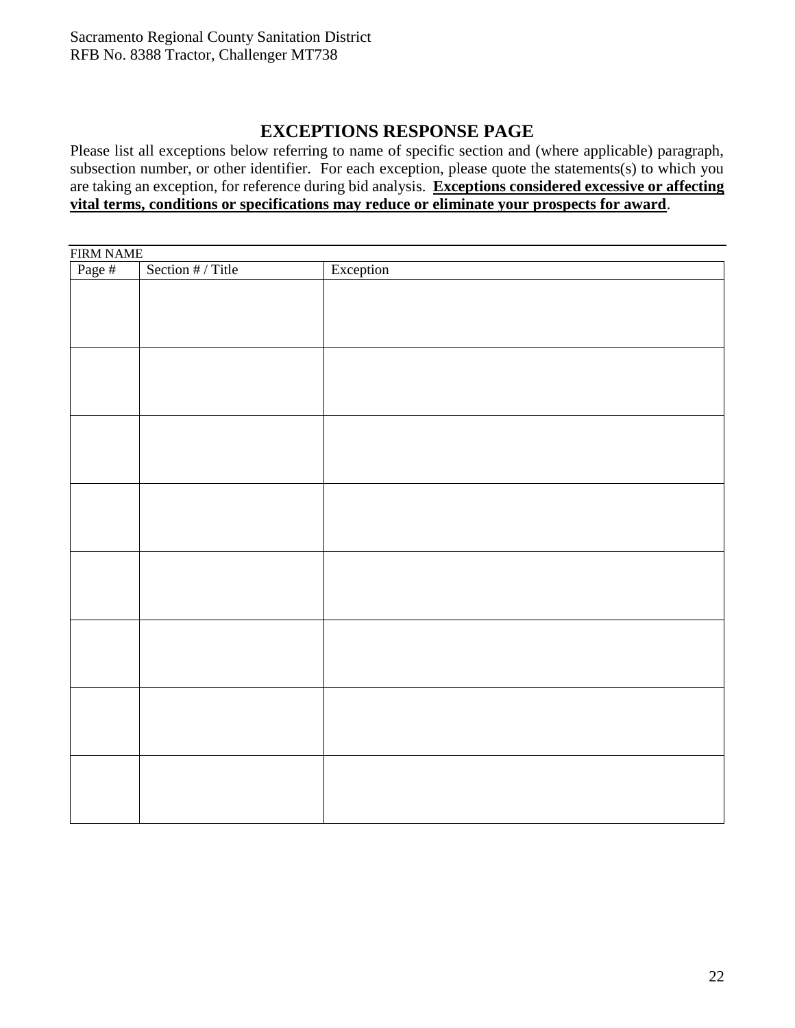## **EXCEPTIONS RESPONSE PAGE**

Please list all exceptions below referring to name of specific section and (where applicable) paragraph, subsection number, or other identifier. For each exception, please quote the statements(s) to which you are taking an exception, for reference during bid analysis. **Exceptions considered excessive or affecting vital terms, conditions or specifications may reduce or eliminate your prospects for award**.

| FIRM NAME<br>Page # | Section # / Title | Exception |  |  |  |  |  |  |  |
|---------------------|-------------------|-----------|--|--|--|--|--|--|--|
|                     |                   |           |  |  |  |  |  |  |  |
|                     |                   |           |  |  |  |  |  |  |  |
|                     |                   |           |  |  |  |  |  |  |  |
|                     |                   |           |  |  |  |  |  |  |  |
|                     |                   |           |  |  |  |  |  |  |  |
|                     |                   |           |  |  |  |  |  |  |  |
|                     |                   |           |  |  |  |  |  |  |  |
|                     |                   |           |  |  |  |  |  |  |  |
|                     |                   |           |  |  |  |  |  |  |  |
|                     |                   |           |  |  |  |  |  |  |  |
|                     |                   |           |  |  |  |  |  |  |  |
|                     |                   |           |  |  |  |  |  |  |  |
|                     |                   |           |  |  |  |  |  |  |  |
|                     |                   |           |  |  |  |  |  |  |  |
|                     |                   |           |  |  |  |  |  |  |  |
|                     |                   |           |  |  |  |  |  |  |  |
|                     |                   |           |  |  |  |  |  |  |  |
|                     |                   |           |  |  |  |  |  |  |  |
|                     |                   |           |  |  |  |  |  |  |  |
|                     |                   |           |  |  |  |  |  |  |  |
|                     |                   |           |  |  |  |  |  |  |  |
|                     |                   |           |  |  |  |  |  |  |  |
|                     |                   |           |  |  |  |  |  |  |  |
|                     |                   |           |  |  |  |  |  |  |  |
|                     |                   |           |  |  |  |  |  |  |  |
|                     |                   |           |  |  |  |  |  |  |  |
|                     |                   |           |  |  |  |  |  |  |  |
|                     |                   |           |  |  |  |  |  |  |  |
|                     |                   |           |  |  |  |  |  |  |  |